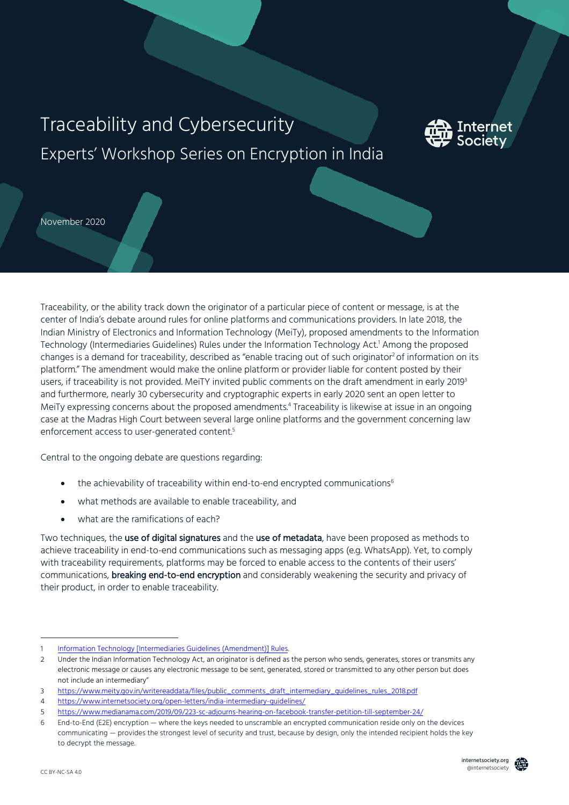# Traceability and Cybersecurity Experts' Workshop Series on Encryption in India



November 2020

Traceability, or the ability track down the originator of a particular piece of content or message, is at the center of India's debate around rules for online platforms and communications providers. In late 2018, the Indian Ministry of Electronics and Information Technology (MeiTy), proposed amendments to the Information Technology (Intermediaries Guidelines) Rules under the Information Technology Act.1 Among the proposed changes is a demand for traceability, described as "enable tracing out of such originator<sup>2</sup> of information on its platform." The amendment would make the online platform or provider liable for content posted by their users, if traceability is not provided. MeiTY invited public comments on the draft amendment in early 20193 and furthermore, nearly 30 cybersecurity and cryptographic experts in early 2020 sent an open letter to MeiTy expressing concerns about the proposed amendments.<sup>4</sup> Traceability is likewise at issue in an ongoing case at the Madras High Court between several large online platforms and the government concerning law enforcement access to user-generated content.<sup>5</sup>

Central to the ongoing debate are questions regarding:

- the achievability of traceability within end-to-end encrypted communications<sup>6</sup>
- what methods are available to enable traceability, and
- what are the ramifications of each?

Two techniques, the use of digital signatures and the use of metadata, have been proposed as methods to achieve traceability in end-to-end communications such as messaging apps (e.g. WhatsApp). Yet, to comply with traceability requirements, platforms may be forced to enable access to the contents of their users' communications, **breaking end-to-end encryption** and considerably weakening the security and privacy of their product, in order to enable traceability.

Information Technology [Intermediaries Guidelines (Amendment)] Rules.

<sup>2</sup> Under the Indian Information Technology Act, an originator is defined as the person who sends, generates, stores or transmits any electronic message or causes any electronic message to be sent, generated, stored or transmitted to any other person but does not include an intermediary"

<sup>3</sup> https://www.meity.gov.in/writereaddata/files/public\_comments\_draft\_intermediary\_guidelines\_rules\_2018.pdf

<sup>4</sup> https://www.internetsociety.org/open-letters/india-intermediary-guidelines/

<sup>5</sup> https://www.medianama.com/2019/09/223-sc-adjourns-hearing-on-facebook-transfer-petition-till-september-24/

<sup>6</sup> End-to-End (E2E) encryption — where the keys needed to unscramble an encrypted communication reside only on the devices communicating — provides the strongest level of security and trust, because by design, only the intended recipient holds the key to decrypt the message.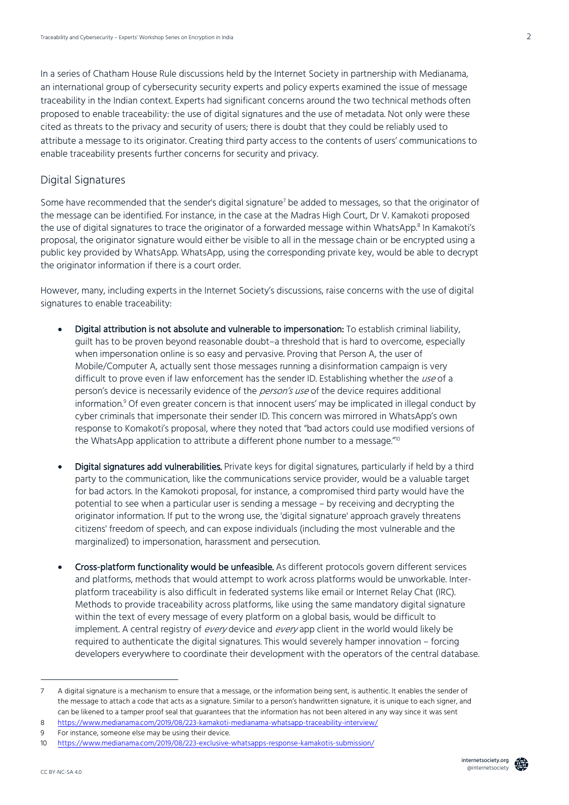In a series of Chatham House Rule discussions held by the Internet Society in partnership with Medianama, an international group of cybersecurity security experts and policy experts examined the issue of message traceability in the Indian context. Experts had significant concerns around the two technical methods often proposed to enable traceability: the use of digital signatures and the use of metadata. Not only were these cited as threats to the privacy and security of users; there is doubt that they could be reliably used to attribute a message to its originator. Creating third party access to the contents of users' communications to enable traceability presents further concerns for security and privacy.

#### Digital Signatures

Some have recommended that the sender's digital signature<sup>7</sup> be added to messages, so that the originator of the message can be identified. For instance, in the case at the Madras High Court, Dr V. Kamakoti proposed the use of digital signatures to trace the originator of a forwarded message within WhatsApp.<sup>8</sup> In Kamakoti's proposal, the originator signature would either be visible to all in the message chain or be encrypted using a public key provided by WhatsApp. WhatsApp, using the corresponding private key, would be able to decrypt the originator information if there is a court order.

However, many, including experts in the Internet Society's discussions, raise concerns with the use of digital signatures to enable traceability:

- Digital attribution is not absolute and vulnerable to impersonation: To establish criminal liability, guilt has to be proven beyond reasonable doubt–a threshold that is hard to overcome, especially when impersonation online is so easy and pervasive. Proving that Person A, the user of Mobile/Computer A, actually sent those messages running a disinformation campaign is very difficult to prove even if law enforcement has the sender ID. Establishing whether the use of a person's device is necessarily evidence of the *person's use* of the device requires additional information.<sup>9</sup> Of even greater concern is that innocent users' may be implicated in illegal conduct by cyber criminals that impersonate their sender ID. This concern was mirrored in WhatsApp's own response to Komakoti's proposal, where they noted that "bad actors could use modified versions of the WhatsApp application to attribute a different phone number to a message."<sup>10</sup>
- Digital signatures add vulnerabilities. Private keys for digital signatures, particularly if held by a third party to the communication, like the communications service provider, would be a valuable target for bad actors. In the Kamokoti proposal, for instance, a compromised third party would have the potential to see when a particular user is sending a message – by receiving and decrypting the originator information. If put to the wrong use, the 'digital signature' approach gravely threatens citizens' freedom of speech, and can expose individuals (including the most vulnerable and the marginalized) to impersonation, harassment and persecution.
- Cross-platform functionality would be unfeasible. As different protocols govern different services and platforms, methods that would attempt to work across platforms would be unworkable. Interplatform traceability is also difficult in federated systems like email or Internet Relay Chat (IRC). Methods to provide traceability across platforms, like using the same mandatory digital signature within the text of every message of every platform on a global basis, would be difficult to implement. A central registry of every device and every app client in the world would likely be required to authenticate the digital signatures. This would severely hamper innovation – forcing developers everywhere to coordinate their development with the operators of the central database.

<sup>7</sup> A digital signature is a mechanism to ensure that a message, or the information being sent, is authentic. It enables the sender of the message to attach a code that acts as a signature. Similar to a person's handwritten signature, it is unique to each signer, and can be likened to a tamper proof seal that guarantees that the information has not been altered in any way since it was sent

<sup>8</sup> https://www.medianama.com/2019/08/223-kamakoti-medianama-whatsapp-traceability-interview/

<sup>9</sup> For instance, someone else may be using their device.

<sup>10</sup> https://www.medianama.com/2019/08/223-exclusive-whatsapps-response-kamakotis-submission/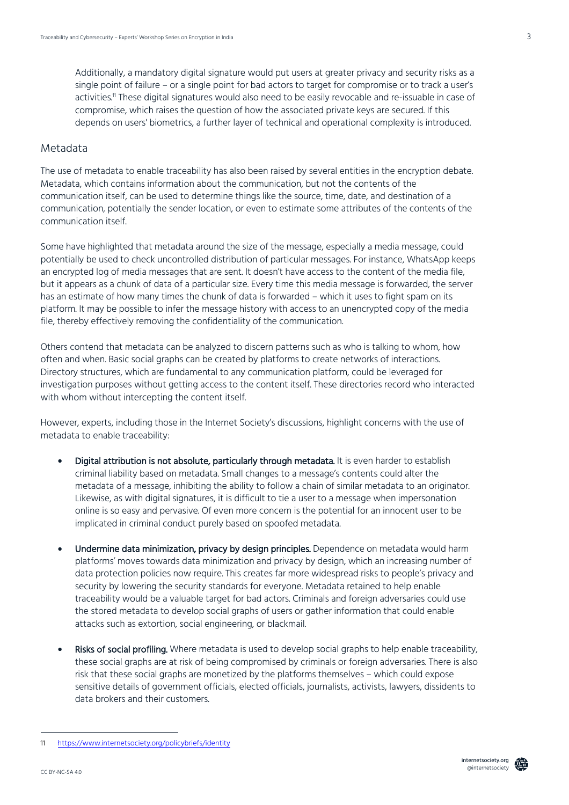Additionally, a mandatory digital signature would put users at greater privacy and security risks as a single point of failure – or a single point for bad actors to target for compromise or to track a user's activities.<sup>11</sup> These digital signatures would also need to be easily revocable and re-issuable in case of compromise, which raises the question of how the associated private keys are secured. If this depends on users' biometrics, a further layer of technical and operational complexity is introduced.

## Metadata

The use of metadata to enable traceability has also been raised by several entities in the encryption debate. Metadata, which contains information about the communication, but not the contents of the communication itself, can be used to determine things like the source, time, date, and destination of a communication, potentially the sender location, or even to estimate some attributes of the contents of the communication itself.

Some have highlighted that metadata around the size of the message, especially a media message, could potentially be used to check uncontrolled distribution of particular messages. For instance, WhatsApp keeps an encrypted log of media messages that are sent. It doesn't have access to the content of the media file, but it appears as a chunk of data of a particular size. Every time this media message is forwarded, the server has an estimate of how many times the chunk of data is forwarded – which it uses to fight spam on its platform. It may be possible to infer the message history with access to an unencrypted copy of the media file, thereby effectively removing the confidentiality of the communication.

Others contend that metadata can be analyzed to discern patterns such as who is talking to whom, how often and when. Basic social graphs can be created by platforms to create networks of interactions. Directory structures, which are fundamental to any communication platform, could be leveraged for investigation purposes without getting access to the content itself. These directories record who interacted with whom without intercepting the content itself.

However, experts, including those in the Internet Society's discussions, highlight concerns with the use of metadata to enable traceability:

- Digital attribution is not absolute, particularly through metadata. It is even harder to establish criminal liability based on metadata. Small changes to a message's contents could alter the metadata of a message, inhibiting the ability to follow a chain of similar metadata to an originator. Likewise, as with digital signatures, it is difficult to tie a user to a message when impersonation online is so easy and pervasive. Of even more concern is the potential for an innocent user to be implicated in criminal conduct purely based on spoofed metadata.
- Undermine data minimization, privacy by design principles. Dependence on metadata would harm platforms' moves towards data minimization and privacy by design, which an increasing number of data protection policies now require. This creates far more widespread risks to people's privacy and security by lowering the security standards for everyone. Metadata retained to help enable traceability would be a valuable target for bad actors. Criminals and foreign adversaries could use the stored metadata to develop social graphs of users or gather information that could enable attacks such as extortion, social engineering, or blackmail.
- Risks of social profiling. Where metadata is used to develop social graphs to help enable traceability, these social graphs are at risk of being compromised by criminals or foreign adversaries. There is also risk that these social graphs are monetized by the platforms themselves – which could expose sensitive details of government officials, elected officials, journalists, activists, lawyers, dissidents to data brokers and their customers.



<sup>11</sup> https://www.internetsociety.org/policybriefs/identity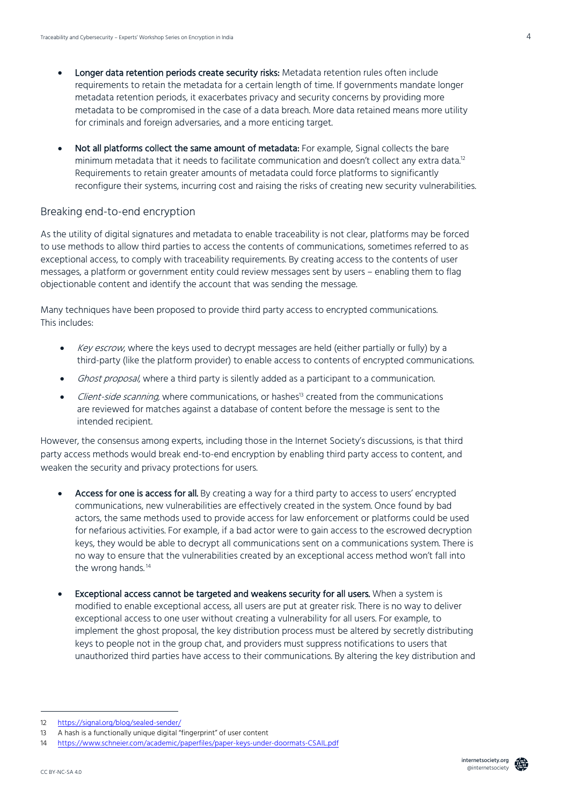- Longer data retention periods create security risks: Metadata retention rules often include requirements to retain the metadata for a certain length of time. If governments mandate longer metadata retention periods, it exacerbates privacy and security concerns by providing more metadata to be compromised in the case of a data breach. More data retained means more utility for criminals and foreign adversaries, and a more enticing target.
- Not all platforms collect the same amount of metadata: For example, Signal collects the bare minimum metadata that it needs to facilitate communication and doesn't collect any extra data.<sup>12</sup> Requirements to retain greater amounts of metadata could force platforms to significantly reconfigure their systems, incurring cost and raising the risks of creating new security vulnerabilities.

#### Breaking end-to-end encryption

As the utility of digital signatures and metadata to enable traceability is not clear, platforms may be forced to use methods to allow third parties to access the contents of communications, sometimes referred to as exceptional access, to comply with traceability requirements. By creating access to the contents of user messages, a platform or government entity could review messages sent by users – enabling them to flag objectionable content and identify the account that was sending the message.

Many techniques have been proposed to provide third party access to encrypted communications. This includes:

- Key escrow, where the keys used to decrypt messages are held (either partially or fully) by a third-party (like the platform provider) to enable access to contents of encrypted communications.
- Ghost proposal, where a third party is silently added as a participant to a communication.
- Client-side scanning, where communications, or hashes<sup>13</sup> created from the communications are reviewed for matches against a database of content before the message is sent to the intended recipient.

However, the consensus among experts, including those in the Internet Society's discussions, is that third party access methods would break end-to-end encryption by enabling third party access to content, and weaken the security and privacy protections for users.

- Access for one is access for all. By creating a way for a third party to access to users' encrypted communications, new vulnerabilities are effectively created in the system. Once found by bad actors, the same methods used to provide access for law enforcement or platforms could be used for nefarious activities. For example, if a bad actor were to gain access to the escrowed decryption keys, they would be able to decrypt all communications sent on a communications system. There is no way to ensure that the vulnerabilities created by an exceptional access method won't fall into the wrong hands.<sup>14</sup>
- Exceptional access cannot be targeted and weakens security for all users. When a system is modified to enable exceptional access, all users are put at greater risk. There is no way to deliver exceptional access to one user without creating a vulnerability for all users. For example, to implement the ghost proposal, the key distribution process must be altered by secretly distributing keys to people not in the group chat, and providers must suppress notifications to users that unauthorized third parties have access to their communications. By altering the key distribution and

<sup>12</sup> https://signal.org/blog/sealed-sender/

<sup>13</sup> A hash is a functionally unique digital "fingerprint" of user content

<sup>14</sup> https://www.schneier.com/academic/paperfiles/paper-keys-under-doormats-CSAIL.pdf